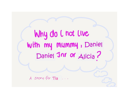Why do I not live with my Mummy, Daniel Daniel Jnr or Alicia ? A story for Tia...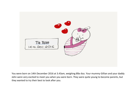

You were born on 14th December 2016 at 3.43am, weighing 8lbs 6oz. Your mummy Gillian and your daddy John were very excited to meet you when you were born. They were quite young to become parents, but they wanted to try their best to look after you.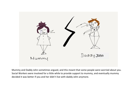

Mummy and Daddy John sometimes argued, and this meant that some people were worried about you. Social Workers were involved for a little while to provide support to mummy, and eventually mummy decided it was better if you and her didn't live with daddy John anymore.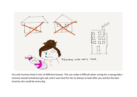

You and mummy lived in lots of different houses. This can make it difficult when caring for a young baby – mummy would sometimes get sad, and it was hard for her to always to look after you and be the best mummy she could be every day.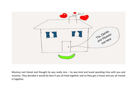

Mummy met Daniel and thought he was really nice – he was kind and loved spending time with you and mummy. They decided it would be best if you all lived together and so they got a house and you all moved in together.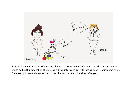

You and Mummy spent lots of time together in the house while Daniel was at work. You and mummy would do fun things together like playing with your toys and going for walks. When Daniel came home from work you were always excited to see him, and he would help look after you.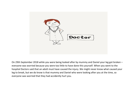

On 29th September 2018 while you were being looked after by mummy and Daniel your leg got broken – everyone was worried because you were too little to have done this yourself. When you went to the hospital Doctors said that an adult must have caused the injury. We might never know what caused your leg to break, but we do know is that mummy and Daniel who were looking after you at the time, so everyone was worried that they had accidently hurt you.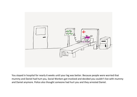

You stayed in hospital for nearly 6 weeks until your leg was better. Because people were worried that mummy and Daniel had hurt you, Social Workers got involved and decided you couldn't live with mummy and Daniel anymore. Police also thought someone had hurt you and they arrested Daniel.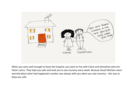

When you were well enough to leave the hospital, you went to live with Claire and Johnathan who are foster carers. They kept you safe and took you to see mummy every week. Because Social Workers were worried about what had happened a worker was always with you when you saw mummy – this was to keep you safe.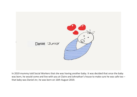

In 2019 mummy told Social Workers that she was having another baby. It was decided that once the baby was born, he would come and live with you at Claire and Johnathan's house to make sure he was safe too that baby was Daniel Jnr, he was born on 16th August 2019.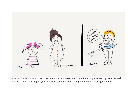

You and Daniel Jnr would both see mummy every week, but Daniel Jnr also got to see big Daniel as well. This was a bit confusing for you sometimes, but you liked seeing mummy and playing with her.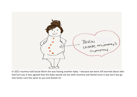

In 2021 mummy told Social Work she was having another baby – because we were still worried about who had hurt you it was agreed that the baby would not live with mummy and Daniel once it was born but go into foster care the same as you and Daniel Jnr.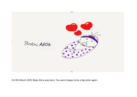

On 9th March 2021 Baby Alicia was born. You were happy to be a big sister again.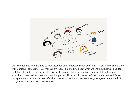

Claire sometimes found it hard to look after you and understand your emotions, it was hard to share Claire with Daniel Jnr sometimes. Everyone spent lots of time talking about what we should do. It was decided that it would be better if you went to live with Jim and Sharon where you could get lots of love and attention. It was decided that your new baby sister, Alicia, would live with Claire, Johnathan, and Daniel Jnr, again to make sure she was safe, the same as you and your brother. Everyone agreed you would still see your brother and sister every week.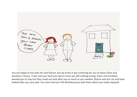

You are happy to live with Jim and Sharon, but we know it was confusing for you to leave Claire and Jonathan's house. It was not your fault you had to move you did nothing wrong. Claire and Jonathan wanted you to stay but they could not look after you as much as you needed. Sharon and Jim can and have looked after you very well. You even had your 5th Birthday party with them which you really enjoyed!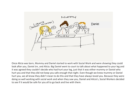

Once Alicia was born, Mummy and Daniel started to work with Social Work and were showing they could look after you, Daniel Jnr, and Alicia. Big Daniel went to court to talk about what happened to your leg and it was agreed they couldn't decide who had hurt your leg, just that it was either mummy or Daniel who hurt you and that they did not keep you safe enough that night. Even though we knew mummy or Daniel hurt you, we all know they didn't mean to do this and that they have always loved you. Because they were doing so well working with social work and when they saw you, Daniel and Alicia's, Social Workers decided to see if it would be safe for you all to go back and live with them.